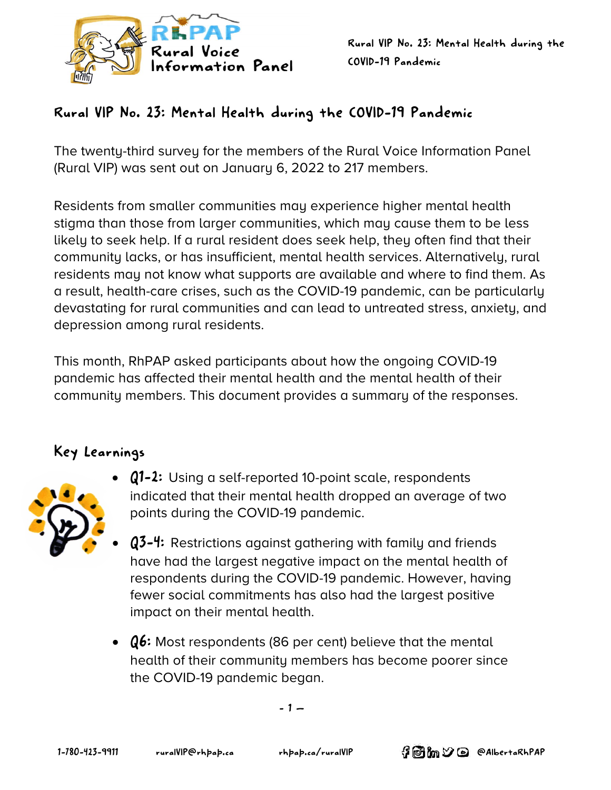

## Rural VIP No. 23: Mental Health during the COVID-19 Pandemic

The twenty-third survey for the members of the Rural Voice Information Panel (Rural VIP) was sent out on January 6, 2022 to 217 members.

Residents from smaller communities may experience higher mental health stigma than those from larger communities, which may cause them to be less likely to seek help. If a rural resident does seek help, they often find that their community lacks, or has insufficient, mental health services. Alternatively, rural residents may not know what supports are available and where to find them. As a result, health-care crises, such as the COVID-19 pandemic, can be particularly devastating for rural communities and can lead to untreated stress, anxiety, and depression among rural residents.

This month, RhPAP asked participants about how the ongoing COVID-19 pandemic has affected their mental health and the mental health of their community members. This document provides a summary of the responses.

## Key Learnings



- Q1-2: Using a self-reported 10-point scale, respondents indicated that their mental health dropped an average of two points during the COVID-19 pandemic.
- Q3-4: Restrictions against gathering with family and friends have had the largest negative impact on the mental health of respondents during the COVID-19 pandemic. However, having fewer social commitments has also had the largest positive impact on their mental health.
- Q6: Most respondents (86 per cent) believe that the mental health of their community members has become poorer since the COVID-19 pandemic began.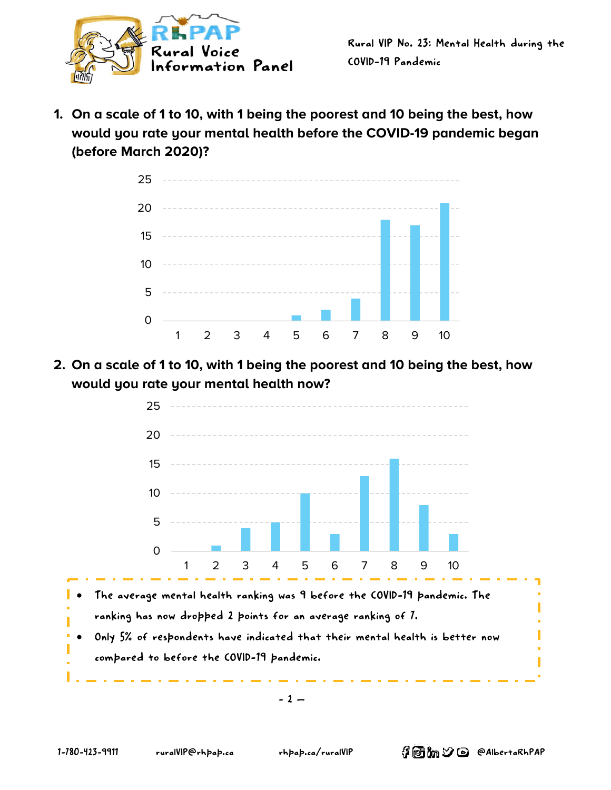

**1. On a scale of 1 to 10, with 1 being the poorest and 10 being the best, how would you rate your mental health before the COVID-19 pandemic began (before March 2020)?**



**2. On a scale of 1 to 10, with 1 being the poorest and 10 being the best, how would you rate your mental health now?**

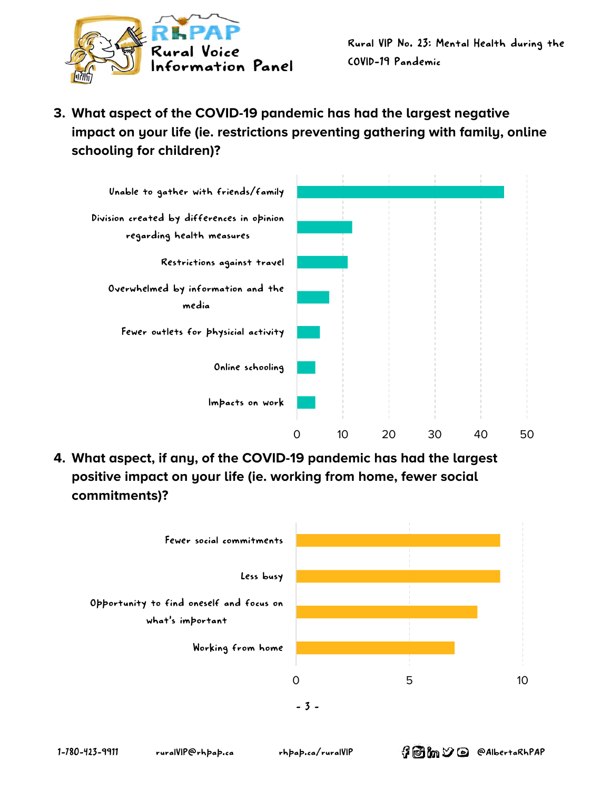

**3. What aspect of the COVID-19 pandemic has had the largest negative impact on your life (ie. restrictions preventing gathering with family, online schooling for children)?**



**4. What aspect, if any, of the COVID-19 pandemic has had the largest positive impact on your life (ie. working from home, fewer social commitments)?**

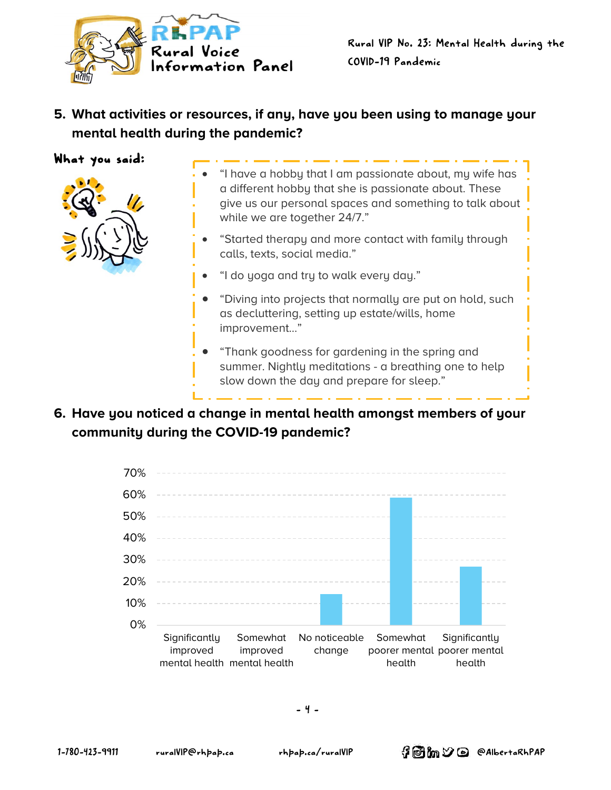

**5. What activities or resources, if any, have you been using to manage your mental health during the pandemic?**

What you said:



- "I have a hobby that I am passionate about, my wife has a different hobby that she is passionate about. These give us our personal spaces and something to talk about while we are together 24/7."
- "Started therapy and more contact with family through calls, texts, social media."
- "I do yoga and try to walk every day."
- "Diving into projects that normally are put on hold, such as decluttering, setting up estate/wills, home improvement…"
- "Thank goodness for gardening in the spring and summer. Nightly meditations - a breathing one to help slow down the day and prepare for sleep."
- **6. Have you noticed a change in mental health amongst members of your community during the COVID-19 pandemic?**

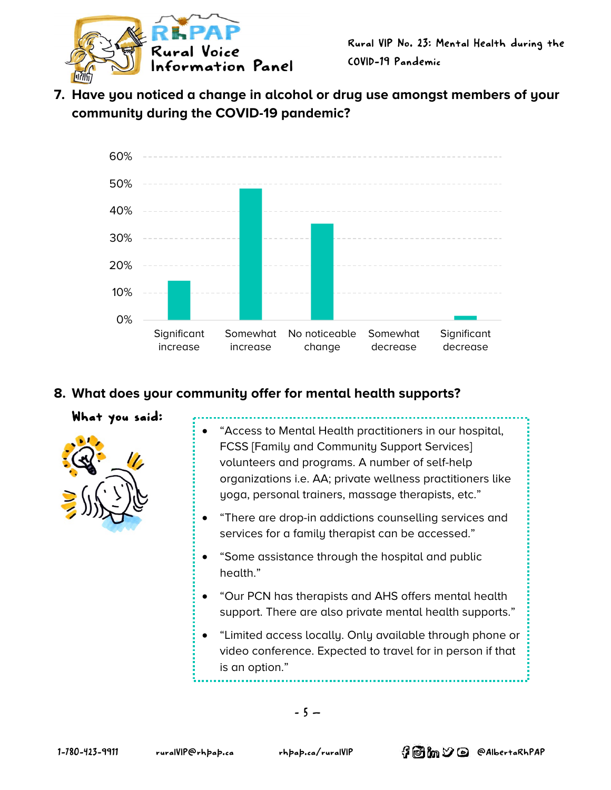

**7. Have you noticed a change in alcohol or drug use amongst members of your community during the COVID-19 pandemic?**



## **8. What does your community offer for mental health supports?**

#### What you said:



- "Access to Mental Health practitioners in our hospital, FCSS [Family and Community Support Services] volunteers and programs. A number of self-help organizations i.e. AA; private wellness practitioners like yoga, personal trainers, massage therapists, etc."
- "There are drop-in addictions counselling services and services for a family therapist can be accessed."
- "Some assistance through the hospital and public health."
- "Our PCN has therapists and AHS offers mental health support. There are also private mental health supports."
- "Limited access locally. Only available through phone or video conference. Expected to travel for in person if that is an option."